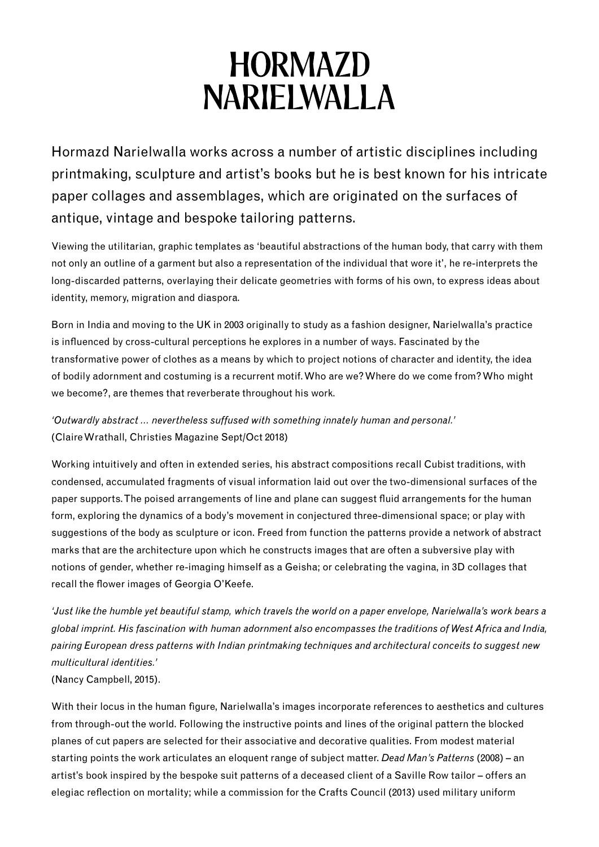# **HORMAZD NARIELWALLA**

Hormazd Narielwalla works across a number of artistic disciplines including printmaking, sculpture and artist's books but he is best known for his intricate paper collages and assemblages, which are originated on the surfaces of antique, vintage and bespoke tailoring patterns.

Viewing the utilitarian, graphic templates as 'beautiful abstractions of the human body, that carry with them not only an outline of a garment but also a representation of the individual that wore it', he re-interprets the long-discarded patterns, overlaying their delicate geometries with forms of his own, to express ideas about identity, memory, migration and diaspora.

Born in India and moving to the UK in 2003 originally to study as a fashion designer, Narielwalla's practice is influenced by cross-cultural perceptions he explores in a number of ways. Fascinated by the transformative power of clothes as a means by which to project notions of character and identity, the idea of bodily adornment and costuming is a recurrent motif. Who are we? Where do we come from? Who might we become?, are themes that reverberate throughout his work.

*'Outwardly abstract … nevertheless suffused with something innately human and personal.'*  (Claire Wrathall, Christies Magazine Sept/Oct 2018)

Working intuitively and often in extended series, his abstract compositions recall Cubist traditions, with condensed, accumulated fragments of visual information laid out over the two-dimensional surfaces of the paper supports. The poised arrangements of line and plane can suggest fluid arrangements for the human form, exploring the dynamics of a body's movement in conjectured three-dimensional space; or play with suggestions of the body as sculpture or icon. Freed from function the patterns provide a network of abstract marks that are the architecture upon which he constructs images that are often a subversive play with notions of gender, whether re-imaging himself as a Geisha; or celebrating the vagina, in 3D collages that recall the flower images of Georgia O'Keefe.

*'Just like the humble yet beautiful stamp, which travels the world on a paper envelope, Narielwalla's work bears a global imprint. His fascination with human adornment also encompasses the traditions of West Africa and India, pairing European dress patterns with Indian printmaking techniques and architectural conceits to suggest new multicultural identities.'* 

(Nancy Campbell, 2015).

With their locus in the human figure, Narielwalla's images incorporate references to aesthetics and cultures from through-out the world. Following the instructive points and lines of the original pattern the blocked planes of cut papers are selected for their associative and decorative qualities. From modest material starting points the work articulates an eloquent range of subject matter. *Dead Man's Patterns* (2008) – an artist's book inspired by the bespoke suit patterns of a deceased client of a Saville Row tailor – offers an elegiac reflection on mortality; while a commission for the Crafts Council (2013) used military uniform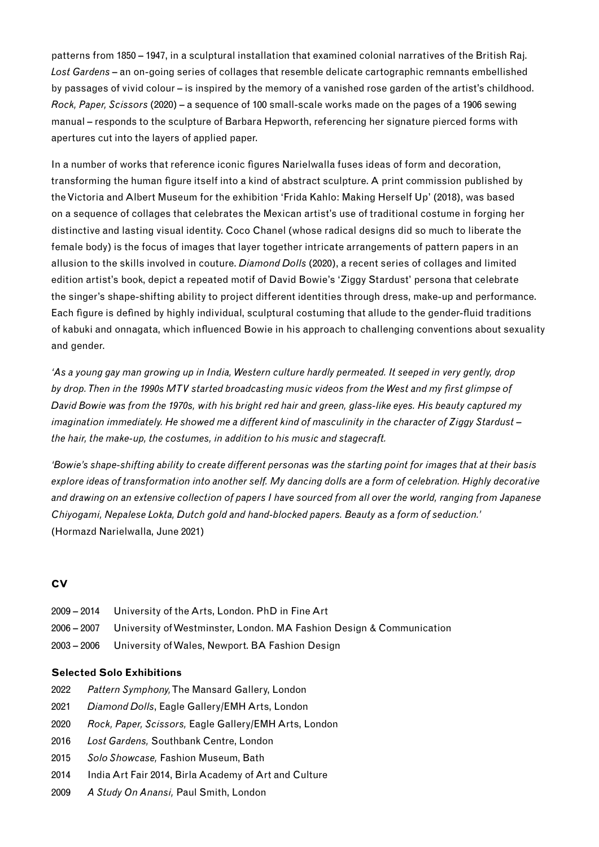patterns from 1850 – 1947, in a sculptural installation that examined colonial narratives of the British Raj. *Lost Gardens* – an on-going series of collages that resemble delicate cartographic remnants embellished by passages of vivid colour – is inspired by the memory of a vanished rose garden of the artist's childhood. *Rock, Paper, Scissors* (2020) – a sequence of 100 small-scale works made on the pages of a 1906 sewing manual – responds to the sculpture of Barbara Hepworth, referencing her signature pierced forms with apertures cut into the layers of applied paper.

In a number of works that reference iconic figures Narielwalla fuses ideas of form and decoration, transforming the human figure itself into a kind of abstract sculpture. A print commission published by the Victoria and Albert Museum for the exhibition 'Frida Kahlo: Making Herself Up' (2018), was based on a sequence of collages that celebrates the Mexican artist's use of traditional costume in forging her distinctive and lasting visual identity. Coco Chanel (whose radical designs did so much to liberate the female body) is the focus of images that layer together intricate arrangements of pattern papers in an allusion to the skills involved in couture. *Diamond Dolls* (2020), a recent series of collages and limited edition artist's book, depict a repeated motif of David Bowie's 'Ziggy Stardust' persona that celebrate the singer's shape-shifting ability to project different identities through dress, make-up and performance. Each figure is defined by highly individual, sculptural costuming that allude to the gender-fluid traditions of kabuki and onnagata, which influenced Bowie in his approach to challenging conventions about sexuality and gender.

*'As a young gay man growing up in India, Western culture hardly permeated. It seeped in very gently, drop by drop. Then in the 1990s MTV started broadcasting music videos from the West and my first glimpse of David Bowie was from the 1970s, with his bright red hair and green, glass-like eyes. His beauty captured my imagination immediately. He showed me a different kind of masculinity in the character of Ziggy Stardust – the hair, the make-up, the costumes, in addition to his music and stagecraft.*

*'Bowie's shape-shifting ability to create different personas was the starting point for images that at their basis explore ideas of transformation into another self. My dancing dolls are a form of celebration. Highly decorative and drawing on an extensive collection of papers I have sourced from all over the world, ranging from Japanese Chiyogami, Nepalese Lokta, Dutch gold and hand-blocked papers. Beauty as a form of seduction.'*  (Hormazd Narielwalla, June 2021)

#### **CV**

| 2009 – 2014 University of the Arts, London. PhD in Fine Art                      |
|----------------------------------------------------------------------------------|
| 2006 – 2007 University of Westminster, London. MA Fashion Design & Communication |
| 2003 – 2006 University of Wales, Newport. BA Fashion Design                      |

#### **Selected Solo Exhibitions**

- 2022 *Pattern Symphony,* The Mansard Gallery, London
- 2021 *Diamond Dolls*, Eagle Gallery/EMH Arts, London
- 2020 *Rock, Paper, Scissors,* Eagle Gallery/EMH Arts, London
- 2016 *Lost Gardens,* Southbank Centre, London
- 2015 *Solo Showcase,* Fashion Museum, Bath
- 2014 India Art Fair 2014, Birla Academy of Art and Culture
- 2009 *A Study On Anansi,* Paul Smith, London